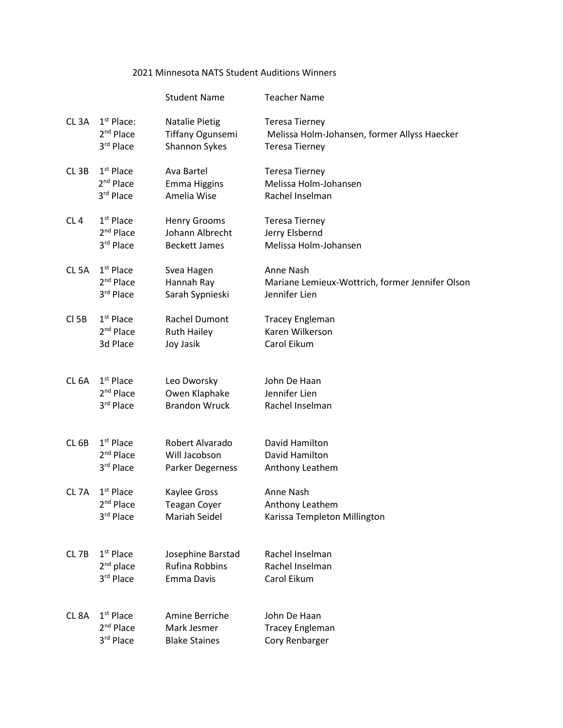## 2021 Minnesota NATS Student Auditions Winners

|                   |                       | <b>Student Name</b>   | <b>Teacher Name</b>                             |
|-------------------|-----------------------|-----------------------|-------------------------------------------------|
| CL <sub>3</sub> A | $1st$ Place:          | Natalie Pietig        | <b>Teresa Tierney</b>                           |
|                   | 2 <sup>nd</sup> Place | Tiffany Ogunsemi      | Melissa Holm-Johansen, former Allyss Haecker    |
|                   | 3rd Place             | Shannon Sykes         | <b>Teresa Tierney</b>                           |
| CL <sub>3B</sub>  | $1st$ Place           | Ava Bartel            | <b>Teresa Tierney</b>                           |
|                   | 2 <sup>nd</sup> Place | <b>Emma Higgins</b>   | Melissa Holm-Johansen                           |
|                   | 3rd Place             | Amelia Wise           | Rachel Inselman                                 |
| CL4               | $1st$ Place           | <b>Henry Grooms</b>   | <b>Teresa Tierney</b>                           |
|                   | 2 <sup>nd</sup> Place | Johann Albrecht       | Jerry Elsbernd                                  |
|                   | 3rd Place             | <b>Beckett James</b>  | Melissa Holm-Johansen                           |
| CL <sub>5</sub> A | $1st$ Place           | Svea Hagen            | Anne Nash                                       |
|                   | $2nd$ Place           | Hannah Ray            | Mariane Lemieux-Wottrich, former Jennifer Olson |
|                   | 3rd Place             | Sarah Sypnieski       | Jennifer Lien                                   |
| $CI$ 5B           | $1st$ Place           | Rachel Dumont         | <b>Tracey Engleman</b>                          |
|                   | 2 <sup>nd</sup> Place | <b>Ruth Hailey</b>    | Karen Wilkerson                                 |
|                   | 3d Place              | Joy Jasik             | Carol Eikum                                     |
| CL <sub>6A</sub>  | $1st$ Place           | Leo Dworsky           | John De Haan                                    |
|                   | $2nd$ Place           | Owen Klaphake         | Jennifer Lien                                   |
|                   | 3rd Place             | <b>Brandon Wruck</b>  | Rachel Inselman                                 |
| CL <sub>6B</sub>  | $1st$ Place           | Robert Alvarado       | David Hamilton                                  |
|                   | 2 <sup>nd</sup> Place | Will Jacobson         | David Hamilton                                  |
|                   | 3rd Place             | Parker Degerness      | Anthony Leathem                                 |
| CL <sub>7A</sub>  | $1st$ Place           | Kaylee Gross          | Anne Nash                                       |
|                   | 2 <sup>nd</sup> Place | <b>Teagan Coyer</b>   | Anthony Leathem                                 |
|                   | 3rd Place             | Mariah Seidel         | Karissa Templeton Millington                    |
| CL <sub>7B</sub>  | $1st$ Place           | Josephine Barstad     | Rachel Inselman                                 |
|                   | $2nd$ place           | <b>Rufina Robbins</b> | Rachel Inselman                                 |
|                   | 3rd Place             | Emma Davis            | Carol Eikum                                     |
| CL <sub>8</sub> A | $1st$ Place           | Amine Berriche        | John De Haan                                    |
|                   | 2 <sup>nd</sup> Place | Mark Jesmer           | <b>Tracey Engleman</b>                          |
|                   | 3rd Place             | <b>Blake Staines</b>  | Cory Renbarger                                  |